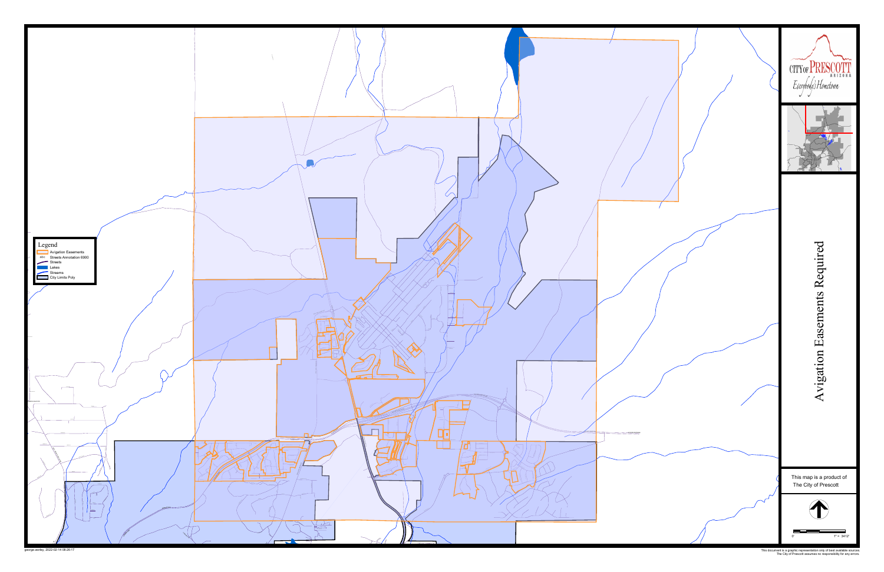

This document is a graphic representation only of best available sources. The City of Prescott assumes no responsibility for any errors.